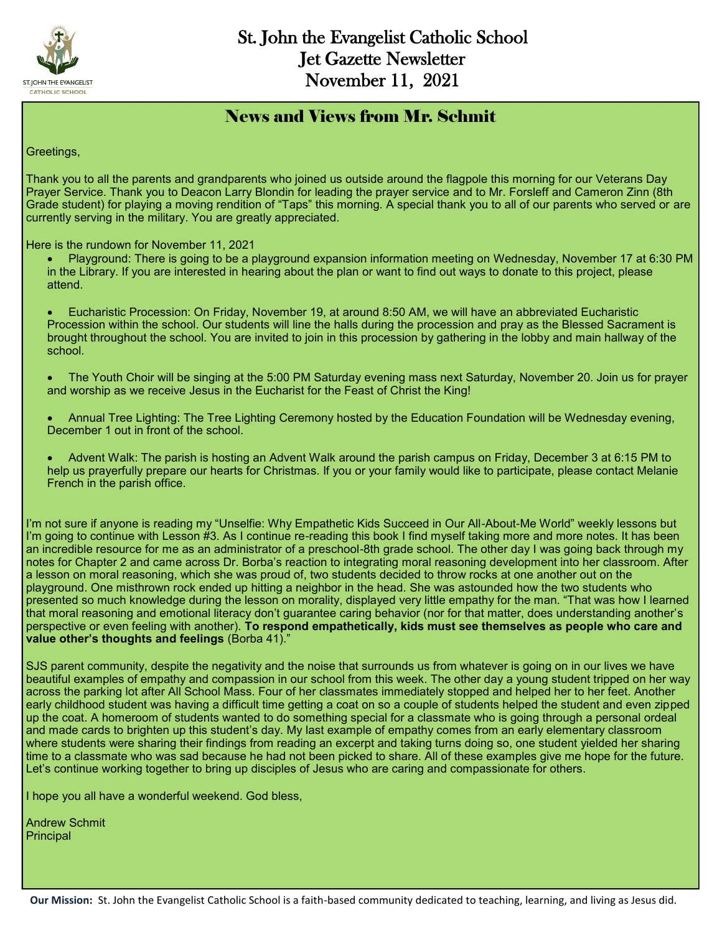

#### News and Views from Mr. Schmit

Greetings,

Thank you to all the parents and grandparents who joined us outside around the flagpole this morning for our Veterans Day Prayer Service. Thank you to Deacon Larry Blondin for leading the prayer service and to Mr. Forsleff and Cameron Zinn (8th Grade student) for playing a moving rendition of "Taps" this morning. A special thank you to all of our parents who served or are currently serving in the military. You are greatly appreciated.

Here is the rundown for November 11, 2021

- Playground: There is going to be a playground expansion information meeting on Wednesday, November 17 at 6:30 PM in the Library. If you are interested in hearing about the plan or want to find out ways to donate to this project, please attend.
- Eucharistic Procession: On Friday, November 19, at around 8:50 AM, we will have an abbreviated Eucharistic Procession within the school. Our students will line the halls during the procession and pray as the Blessed Sacrament is brought throughout the school. You are invited to join in this procession by gathering in the lobby and main hallway of the school.
- The Youth Choir will be singing at the 5:00 PM Saturday evening mass next Saturday, November 20. Join us for prayer and worship as we receive Jesus in the Eucharist for the Feast of Christ the King!
- Annual Tree Lighting: The Tree Lighting Ceremony hosted by the Education Foundation will be Wednesday evening, December 1 out in front of the school.
- Advent Walk: The parish is hosting an Advent Walk around the parish campus on Friday, December 3 at 6:15 PM to help us prayerfully prepare our hearts for Christmas. If you or your family would like to participate, please contact Melanie French in the parish office.

I'm not sure if anyone is reading my "Unselfie: Why Empathetic Kids Succeed in Our All-About-Me World" weekly lessons but I'm going to continue with Lesson #3. As I continue re-reading this book I find myself taking more and more notes. It has been an incredible resource for me as an administrator of a preschool-8th grade school. The other day I was going back through my notes for Chapter 2 and came across Dr. Borba's reaction to integrating moral reasoning development into her classroom. After a lesson on moral reasoning, which she was proud of, two students decided to throw rocks at one another out on the playground. One misthrown rock ended up hitting a neighbor in the head. She was astounded how the two students who presented so much knowledge during the lesson on morality, displayed very little empathy for the man. "That was how I learned that moral reasoning and emotional literacy don't guarantee caring behavior (nor for that matter, does understanding another's perspective or even feeling with another). **To respond empathetically, kids must see themselves as people who care and value other's thoughts and feelings** (Borba 41)."

SJS parent community, despite the negativity and the noise that surrounds us from whatever is going on in our lives we have beautiful examples of empathy and compassion in our school from this week. The other day a young student tripped on her way across the parking lot after All School Mass. Four of her classmates immediately stopped and helped her to her feet. Another early childhood student was having a difficult time getting a coat on so a couple of students helped the student and even zipped up the coat. A homeroom of students wanted to do something special for a classmate who is going through a personal ordeal and made cards to brighten up this student's day. My last example of empathy comes from an early elementary classroom where students were sharing their findings from reading an excerpt and taking turns doing so, one student yielded her sharing time to a classmate who was sad because he had not been picked to share. All of these examples give me hope for the future. Let's continue working together to bring up disciples of Jesus who are caring and compassionate for others.

I hope you all have a wonderful weekend. God bless,

Andrew Schmit Principal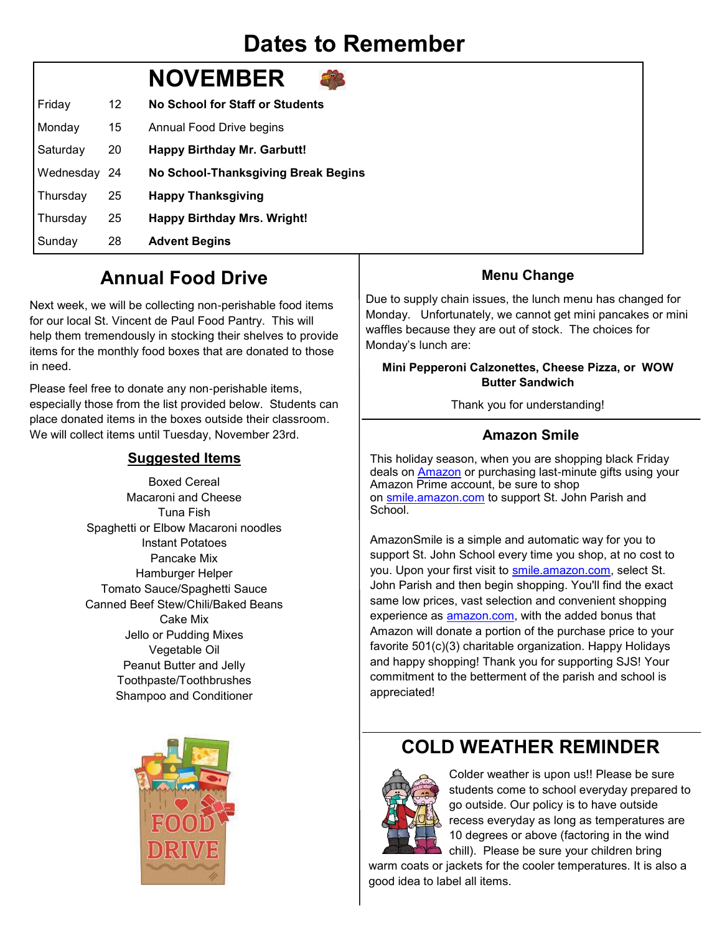# **Dates to Remember**

# **NOVEMBER**

| Friday       | 12 | <b>No School for Staff or Students</b> |
|--------------|----|----------------------------------------|
| Monday       | 15 | Annual Food Drive begins               |
| Saturday     | 20 | <b>Happy Birthday Mr. Garbutt!</b>     |
| Wednesday 24 |    | No School-Thanksgiving Break Begins    |
| Thursday     | 25 | <b>Happy Thanksgiving</b>              |
| Thursday     | 25 | <b>Happy Birthday Mrs. Wright!</b>     |
| Sunday       | 28 | <b>Advent Begins</b>                   |

## **Annual Food Drive**

Next week, we will be collecting non-perishable food items for our local St. Vincent de Paul Food Pantry. This will help them tremendously in stocking their shelves to provide items for the monthly food boxes that are donated to those in need.

Please feel free to donate any non-perishable items, especially those from the list provided below. Students can place donated items in the boxes outside their classroom. We will collect items until Tuesday, November 23rd.

#### **Suggested Items**

Boxed Cereal Macaroni and Cheese Tuna Fish Spaghetti or Elbow Macaroni noodles Instant Potatoes Pancake Mix Hamburger Helper Tomato Sauce/Spaghetti Sauce Canned Beef Stew/Chili/Baked Beans Cake Mix Jello or Pudding Mixes Vegetable Oil Peanut Butter and Jelly Toothpaste/Toothbrushes Shampoo and Conditioner



#### **Menu Change**

Due to supply chain issues, the lunch menu has changed for Monday. Unfortunately, we cannot get mini pancakes or mini waffles because they are out of stock. The choices for Monday's lunch are:

#### **Mini Pepperoni Calzonettes, Cheese Pizza, or WOW Butter Sandwich**

Thank you for understanding!

#### **Amazon Smile**

This holiday season, when you are shopping black Friday deals on [Amazon](http://www.chicagotribune.com/topic/business/amazon.com-ORCRP000672-topic.html) or purchasing last-minute gifts using your Amazon Prime account, be sure to shop on [smile.amazon.com](http://smile.amazon.com/) to support St. John Parish and School.

AmazonSmile is a simple and automatic way for you to support St. John School every time you shop, at no cost to you. Upon your first visit to [smile.amazon.com,](http://smile.amazon.com/) select St. John Parish and then begin shopping. You'll find the exact same low prices, vast selection and convenient shopping experience as **amazon.com**, with the added bonus that Amazon will donate a portion of the purchase price to your favorite 501(c)(3) charitable organization. Happy Holidays and happy shopping! Thank you for supporting SJS! Your commitment to the betterment of the parish and school is appreciated!

## **COLD WEATHER REMINDER**



Colder weather is upon us!! Please be sure students come to school everyday prepared to go outside. Our policy is to have outside recess everyday as long as temperatures are 10 degrees or above (factoring in the wind chill). Please be sure your children bring

warm coats or jackets for the cooler temperatures. It is also a good idea to label all items.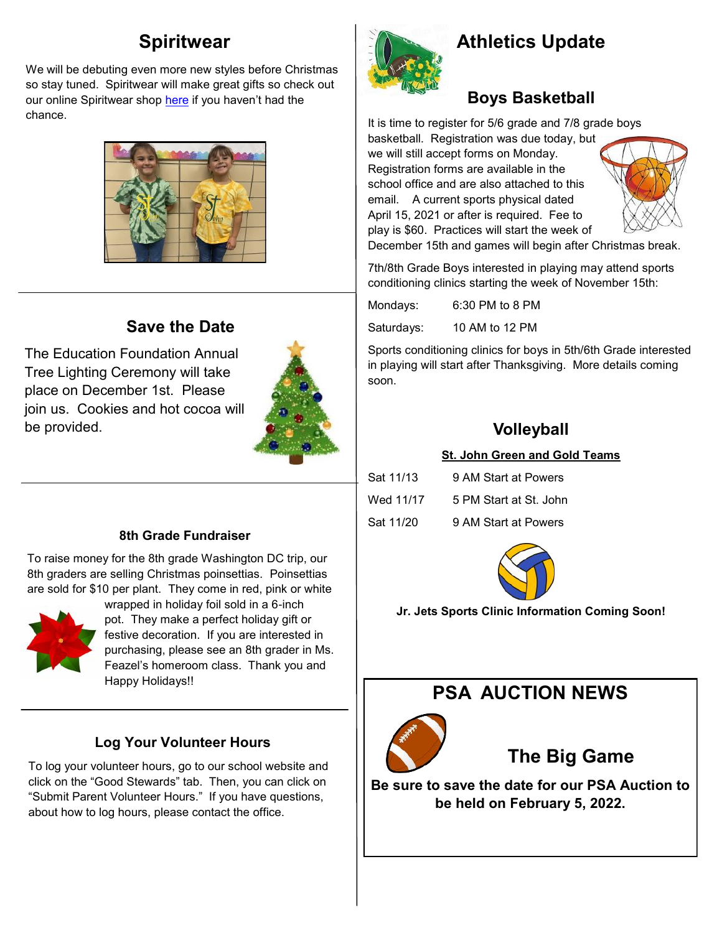## **Spiritwear**

We will be debuting even more new styles before Christmas so stay tuned. Spiritwear will make great gifts so check out our online Spiritwear shop [here](https://st-john-the-evangelist-catholic-spirit-wear.square.site/) if you haven't had the chance.



### **Save the Date**

The Education Foundation Annual Tree Lighting Ceremony will take place on December 1st. Please join us. Cookies and hot cocoa will be provided.



#### **8th Grade Fundraiser**

To raise money for the 8th grade Washington DC trip, our 8th graders are selling Christmas poinsettias. Poinsettias are sold for \$10 per plant. They come in red, pink or white



wrapped in holiday foil sold in a 6-inch pot. They make a perfect holiday gift or festive decoration. If you are interested in purchasing, please see an 8th grader in Ms. Feazel's homeroom class. Thank you and Happy Holidays!!

#### **Log Your Volunteer Hours**

To log your volunteer hours, go to our school website and click on the "Good Stewards" tab. Then, you can click on "Submit Parent Volunteer Hours." If you have questions, about how to log hours, please contact the office.



# **Athletics Update**

## **Boys Basketball**

It is time to register for 5/6 grade and 7/8 grade boys

basketball. Registration was due today, but we will still accept forms on Monday. Registration forms are available in the school office and are also attached to this email. A current sports physical dated April 15, 2021 or after is required. Fee to play is \$60. Practices will start the week of



December 15th and games will begin after Christmas break.

7th/8th Grade Boys interested in playing may attend sports conditioning clinics starting the week of November 15th:

Mondays: 6:30 PM to 8 PM

Saturdays: 10 AM to 12 PM

Sports conditioning clinics for boys in 5th/6th Grade interested in playing will start after Thanksgiving. More details coming soon.

#### **Volleyball**

#### **St. John Green and Gold Teams**

| Sat 11/13 | 9 AM Start at Powers   |
|-----------|------------------------|
| Wed 11/17 | 5 PM Start at St. John |
| Sat 11/20 | 9 AM Start at Powers   |



**Jr. Jets Sports Clinic Information Coming Soon!** 

## **PSA AUCTION NEWS**



## **The Big Game**

**Be sure to save the date for our PSA Auction to be held on February 5, 2022.**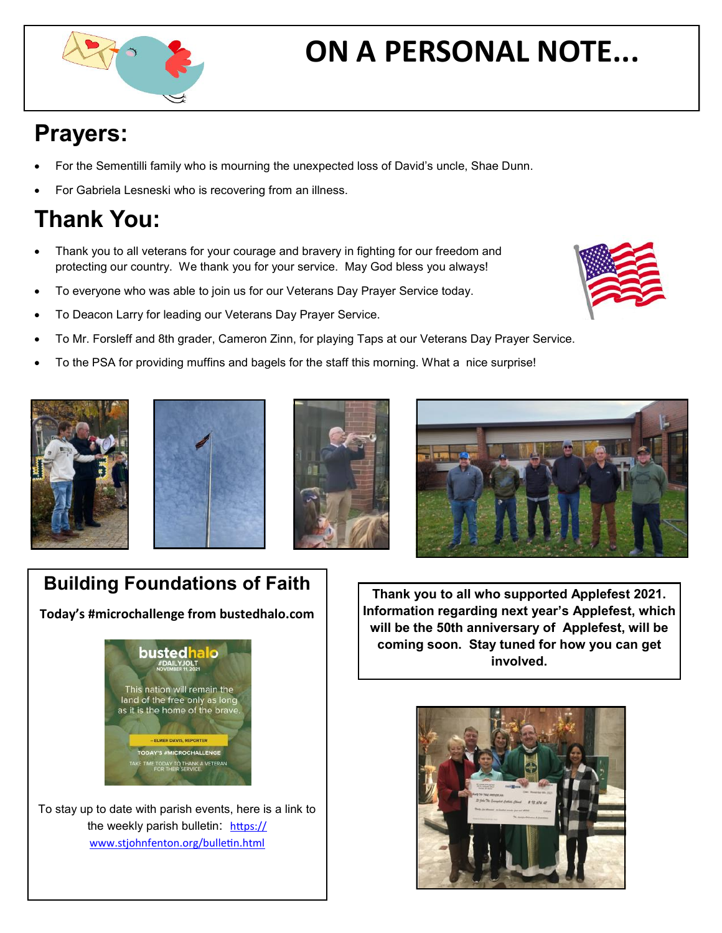# **ON A PERSONAL NOTE...**

# **Prayers:**

- For the Sementilli family who is mourning the unexpected loss of David's uncle, Shae Dunn.
- For Gabriela Lesneski who is recovering from an illness.

# **Thank You:**

- Thank you to all veterans for your courage and bravery in fighting for our freedom and protecting our country. We thank you for your service. May God bless you always!
- To everyone who was able to join us for our Veterans Day Prayer Service today.
- To Deacon Larry for leading our Veterans Day Prayer Service.
- To Mr. Forsleff and 8th grader, Cameron Zinn, for playing Taps at our Veterans Day Prayer Service.
- To the PSA for providing muffins and bagels for the staff this morning. What a nice surprise!









# **Building Foundations of Faith**

**Today's #microchallenge from bustedhalo.com**



To stay up to date with parish events, here is a link to the weekly parish bulletin: [https://](https://www.stjohnfenton.org/bulletin.html) [www.stjohnfenton.org/bulletin.html](https://www.stjohnfenton.org/bulletin.html) 

**Thank you to all who supported Applefest 2021. Information regarding next year's Applefest, which will be the 50th anniversary of Applefest, will be coming soon. Stay tuned for how you can get involved.**